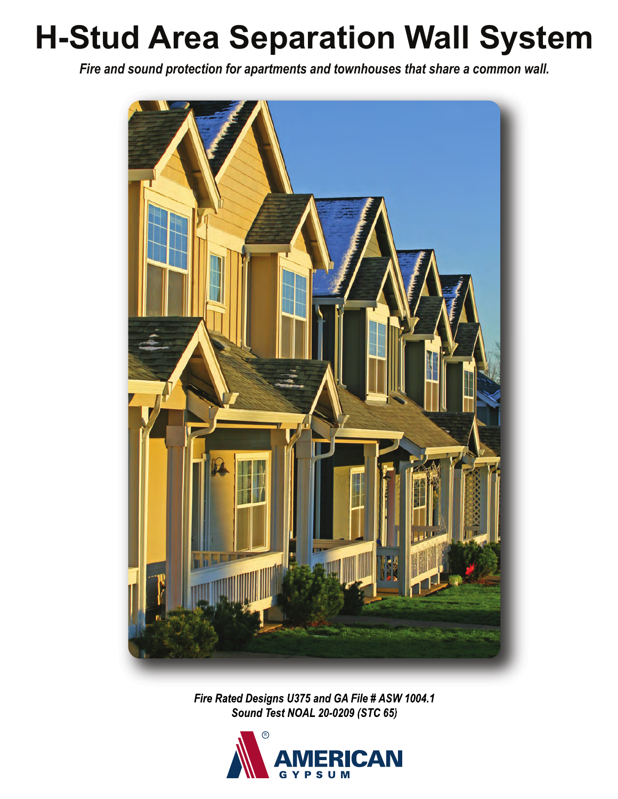## **H-Stud Area Separation Wall System**

*Fire and sound protection for apartments and townhouses that share a common wall.*



*Fire Rated Designs U375 and GA File # ASW 1004.1 Sound Test NOAL 20-0209 (STC 65)*

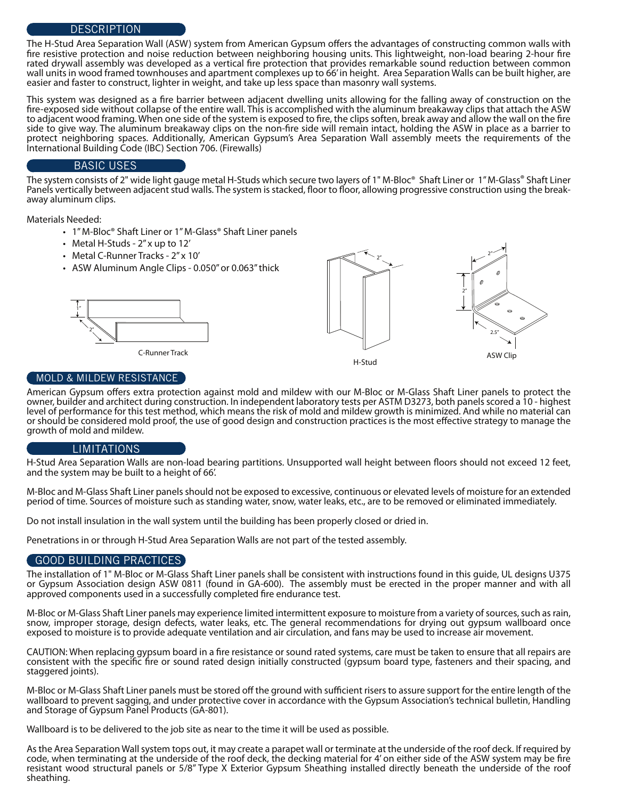## **DESCRIPTION**

The H-Stud Area Separation Wall (ASW) system from American Gypsum offers the advantages of constructing common walls with fire resistive protection and noise reduction between neighboring housing units. This lightweight, non-load bearing 2-hour fire rated drywall assembly was developed as a vertical fire protection that provides remarkable sound reduction between common wall units in wood framed townhouses and apartment complexes up to 66' in height. Area Separation Walls can be built higher, are easier and faster to construct, lighter in weight, and take up less space than masonry wall systems.

This system was designed as a fire barrier between adjacent dwelling units allowing for the falling away of construction on the re-exposed side without collapse of the entire wall. This is accomplished with the aluminum breakaway clips that attach the ASW to adjacent wood framing. When one side of the system is exposed to fire, the clips soften, break away and allow the wall on the fire side to give way. The aluminum breakaway clips on the non-fire side will remain intact, holding the ASW in place as a barrier to protect neighboring spaces. Additionally, American Gypsum's Area Separation Wall assembly meets the requirements of the International Building Code (IBC) Section 706. (Firewalls)

## BASIC USES

The system consists of 2" wide light gauge metal H-Studs which secure two layers of 1" M-Bloc® Shaft Liner or 1" M-Glass® Shaft Liner Panels vertically between adjacent stud walls. The system is stacked, floor to floor, allowing progressive construction using the break-<br>away aluminum clips.

Materials Needed:

- 1" M-Bloc<sup>®</sup> Shaft Liner or 1" M-Glass<sup>®</sup> Shaft Liner panels
- Metal H-Studs 2" x up to 12'
- Metal C-Runner Tracks 2" x 10'
- ASW Aluminum Angle Clips 0.050" or 0.063" thick



C-Runner Track





### MOLD & MILDEW RESISTANCE

American Gypsum offers extra protection against mold and mildew with our M-Bloc or M-Glass Shaft Liner panels to protect the owner, builder and architect during construction. In independent laboratory tests per ASTM D3273, both panels scored a 10 - highest level of performance for this test method, which means the risk of mold and mildew growth is minimized. And while no material can or should be considered mold proof, the use of good design and construction practices is the most effective strategy to manage the growth of mold and mildew.

### LIMITATIONS

H-Stud Area Separation Walls are non-load bearing partitions. Unsupported wall height between floors should not exceed 12 feet, and the system may be built to a height of 66'.

M-Bloc and M-Glass Shaft Liner panels should not be exposed to excessive, continuous or elevated levels of moisture for an extended period of time. Sources of moisture such as standing water, snow, water leaks, etc., are to be removed or eliminated immediately.

Do not install insulation in the wall system until the building has been properly closed or dried in.

Penetrations in or through H-Stud Area Separation Walls are not part of the tested assembly.

## GOOD BUILDING PRACTICES

The installation of 1" M-Bloc or M-Glass Shaft Liner panels shall be consistent with instructions found in this guide, UL designs U375 or Gypsum Association design ASW 0811 (found in GA-600). The assembly must be erected in the proper manner and with all approved components used in a successfully completed fire endurance test.

M-Bloc or M-Glass Shaft Liner panels may experience limited intermittent exposure to moisture from a variety of sources, such as rain, snow, improper storage, design defects, water leaks, etc. The general recommendations for drying out gypsum wallboard once exposed to moisture is to provide adequate ventilation and air circulation, and fans may be used to increase air movement.

CAUTION: When replacing gypsum board in a fire resistance or sound rated systems, care must be taken to ensure that all repairs are consistent with the specific fire or sound rated design initially constructed (gypsum board type, fasteners and their spacing, and staggered joints).

M-Bloc or M-Glass Shaft Liner panels must be stored off the ground with sufficient risers to assure support for the entire length of the wallboard to prevent sagging, and under protective cover in accordance with the Gypsum Association's technical bulletin, Handling and Storage of Gypsum Panel Products (GA-801).

Wallboard is to be delivered to the job site as near to the time it will be used as possible.

As the Area Separation Wall system tops out, it may create a parapet wall or terminate at the underside of the roof deck. If required by code, when terminating at the underside of the roof deck, the decking material for 4' on either side of the ASW system may be fire resistant wood structural panels or 5/8" Type X Exterior Gypsum Sheathing installed directly beneath the underside of the roof sheathing.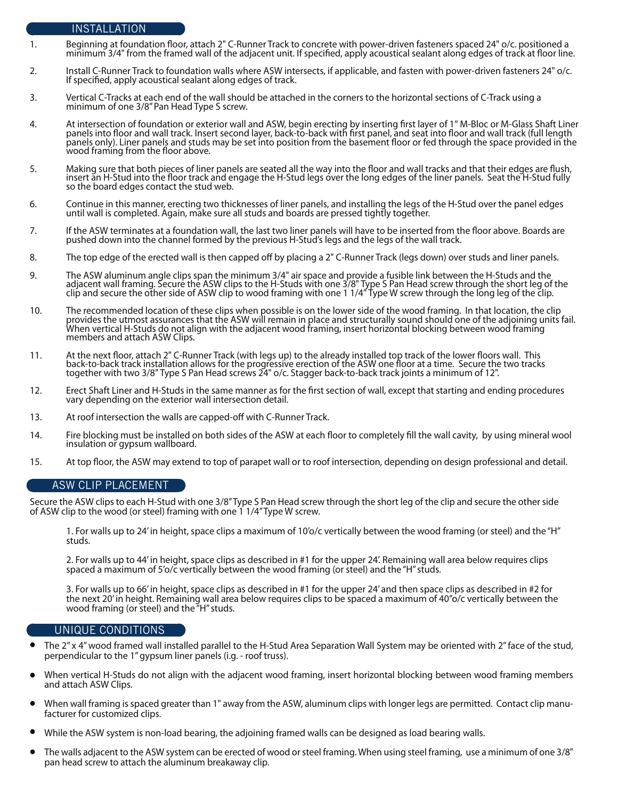## INSTALLATION

- 1. Beginning at foundation floor, attach 2" C-Runner Track to concrete with power-driven fasteners spaced 24" o/c. positioned a minimum 3/4" from the framed wall of the adjacent unit. If specified, apply acoustical sealant along edges of track at floor line.
- 2. Install C-Runner Track to foundation walls where ASW intersects, if applicable, and fasten with power-driven fasteners 24" o/c. If specified, apply acoustical sealant along edges of track.
- 3. Vertical C-Tracks at each end of the wall should be attached in the corners to the horizontal sections of C-Track using a minimum of one 3/8" Pan Head Type S screw.
- 4. At intersection of foundation or exterior wall and ASW, begin erecting by inserting first layer of 1" M-Bloc or M-Glass Shaft Liner panels into floor and wall track. Insert second layer, back-to-back with first panel, and seat into floor and wall track (full length<br>panels only). Liner panels and studs may be set into position from the basement floor or wood framing from the floor above.
- 5. Making sure that both pieces of liner panels are seated all the way into the floor and wall tracks and that their edges are flush, insert an H-Stud into the floor track and engage the H-Stud legs over the long edges of the liner panels. Seat the H-Stud fully so the board edges contact the stud web.
- 6. Continue in this manner, erecting two thicknesses of liner panels, and installing the legs of the H-Stud over the panel edges until wall is completed. Again, make sure all studs and boards are pressed tightly together.
- 7. If the ASW terminates at a foundation wall, the last two liner panels will have to be inserted from the floor above. Boards are pushed down into the channel formed by the previous H-Stud's legs and the legs of the wall track.
- 8. The top edge of the erected wall is then capped off by placing a 2" C-Runner Track (legs down) over studs and liner panels.
- 9. The ASW aluminum angle clips span the minimum 3/4" air space and provide a fusible link between the H-Studs and the adjacent wall framing. Secure the ASW clips to the H-Studs with one 3/8" Type S Pan Head screw through the short leg of the clip and secure the other side of ASW clip to wood framing with one 1 1/4" Type W screw through the long leg of the clip.
- 10. The recommended location of these clips when possible is on the lower side of the wood framing. In that location, the clip provides the utmost assurances that the ASW will remain in place and structurally sound should one of the adjoining units fail. When vertical H-Studs do not align with the adjacent wood framing, insert horizontal blocking between wood framing members and attach ASW Clips.
- 11. At the next floor, attach 2" C-Runner Track (with legs up) to the already installed top track of the lower floors wall. This back-to-back track installation allows for the progressive erection of the ASW one floor at a time. Secure the two tracks together with two 3/8" Type S Pan Head screws 24" o/c. Stagger back-to-back track joints a minimum of 12".
- 12. Erect Shaft Liner and H-Studs in the same manner as for the first section of wall, except that starting and ending procedures vary depending on the exterior wall intersection detail.
- 13. At roof intersection the walls are capped-off with C-Runner Track.
- 14. Fire blocking must be installed on both sides of the ASW at each floor to completely fill the wall cavity, by using mineral wool insulation or gypsum wallboard.
- 15. At top floor, the ASW may extend to top of parapet wall or to roof intersection, depending on design professional and detail.

### ASW CLIP PLACEMENT

Secure the ASW clips to each H-Stud with one 3/8'' Type S Pan Head screw through the short leg of the clip and secure the other side of ASW clip to the wood (or steel) framing with one 1 1/4" Type W screw.

 1. For walls up to 24' in height, space clips a maximum of 10'o/c vertically between the wood framing (or steel) and the "H" studs.

 2. For walls up to 44' in height, space clips as described in #1 for the upper 24'. Remaining wall area below requires clips spaced a maximum of 5'o/c vertically between the wood framing (or steel) and the "H" studs.

 3. For walls up to 66' in height, space clips as described in #1 for the upper 24' and then space clips as described in #2 for the next 20' in height. Remaining wall area below requires clips to be spaced a maximum of 40"o/c vertically between the wood framing (or steel) and the "H" studs.

#### UNIQUE CONDITIONS

- The 2" x 4" wood framed wall installed parallel to the H-Stud Area Separation Wall System may be oriented with 2" face of the stud, perpendicular to the 1'' gypsum liner panels (i.g. - roof truss).  $\bullet$
- When vertical H-Studs do not align with the adjacent wood framing, insert horizontal blocking between wood framing members and attach ASW Clips.  $\bullet$
- When wall framing is spaced greater than 1" away from the ASW, aluminum clips with longer legs are permitted. Contact clip manu-<br>facturer for customized clips.  $\bullet$
- While the ASW system is non-load bearing, the adjoining framed walls can be designed as load bearing walls.  $\bullet$
- The walls adjacent to the ASW system can be erected of wood or steel framing. When using steel framing, use a minimum of one 3/8" pan head screw to attach the aluminum breakaway clip.  $\bullet$